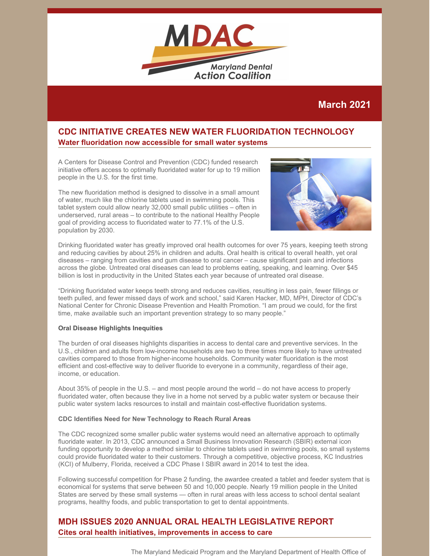

# **March 2021**

# **CDC INITIATIVE CREATES NEW WATER FLUORIDATION TECHNOLOGY Water fluoridation now accessible for small water systems**

A Centers for Disease Control and Prevention (CDC) funded research initiative offers access to optimally fluoridated water for up to 19 million people in the U.S. for the first time.

The new fluoridation method is designed to dissolve in a small amount of water, much like the chlorine tablets used in swimming pools. This tablet system could allow nearly 32,000 small public utilities – often in underserved, rural areas – to contribute to the national Healthy People goal of providing access to fluoridated water to 77.1% of the U.S. population by 2030.



Drinking fluoridated water has greatly improved oral health outcomes for over 75 years, keeping teeth strong and reducing cavities by about 25% in children and adults. Oral health is critical to overall health, yet oral diseases – ranging from cavities and gum disease to oral cancer – cause significant pain and infections across the globe. Untreated oral diseases can lead to problems eating, speaking, and learning. Over \$45 billion is lost in productivity in the United States each year because of untreated oral disease.

"Drinking fluoridated water keeps teeth strong and reduces cavities, resulting in less pain, fewer fillings or teeth pulled, and fewer missed days of work and school," said Karen Hacker, MD, MPH, Director of CDC's National Center for Chronic Disease Prevention and Health Promotion. "I am proud we could, for the first time, make available such an important prevention strategy to so many people."

### **Oral Disease Highlights Inequities**

The burden of oral diseases highlights disparities in access to dental care and preventive services. In the U.S., children and adults from low-income households are two to three times more likely to have untreated cavities compared to those from higher-income households. Community water fluoridation is the most efficient and cost-effective way to deliver fluoride to everyone in a community, regardless of their age, income, or education.

About 35% of people in the U.S. – and most people around the world – do not have access to properly fluoridated water, often because they live in a home not served by a public water system or because their public water system lacks resources to install and maintain cost-effective fluoridation systems.

#### **CDC Identifies Need for New Technology to Reach Rural Areas**

The CDC recognized some smaller public water systems would need an alternative approach to optimally fluoridate water. In 2013, CDC announced a Small Business Innovation Research (SBIR) external icon funding opportunity to develop a method similar to chlorine tablets used in swimming pools, so small systems could provide fluoridated water to their customers. Through a competitive, objective process, KC Industries (KCI) of Mulberry, Florida, received a CDC Phase I SBIR award in 2014 to test the idea.

Following successful competition for Phase 2 funding, the awardee created a tablet and feeder system that is economical for systems that serve between 50 and 10,000 people. Nearly 19 million people in the United States are served by these small systems — often in rural areas with less access to school dental sealant programs, healthy foods, and public transportation to get to dental appointments.

# **MDH ISSUES 2020 ANNUAL ORAL HEALTH LEGISLATIVE REPORT Cites oral health initiatives, improvements in access to care**

The Maryland Medicaid Program and the Maryland Department of Health Office of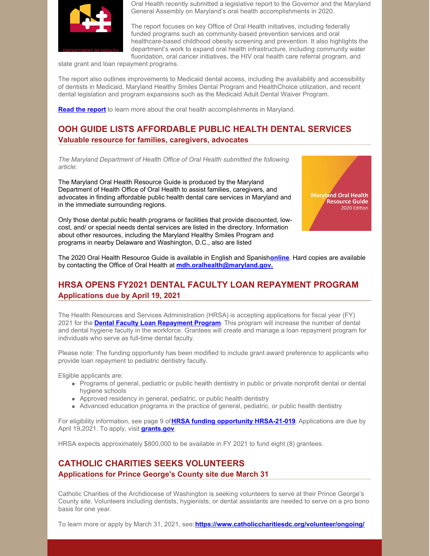

Oral Health recently submitted a legislative report to the Governor and the Maryland General Assembly on Maryland's oral health accomplishments in 2020.

The report focuses on key Office of Oral Health initiatives, including federally funded programs such as community-based prevention services and oral healthcare-based childhood obesity screening and prevention. It also highlights the department's work to expand oral health infrastructure, including community water fluoridation, oral cancer initiatives, the HIV oral health care referral program, and

state grant and loan repayment programs.

The report also outlines improvements to Medicaid dental access, including the availability and accessibility of dentists in Medicaid, Maryland Healthy Smiles Dental Program and HealthChoice utilization, and recent dental legislation and program expansions such as the Medicaid Adult Dental Waiver Program.

**Read the [report](https://mmcp.health.maryland.gov/Documents/JCRs/2020/dentalJCRfinal11-20.pdf)** to learn more about the oral health accomplishments in Maryland.

# **OOH GUIDE LISTS AFFORDABLE PUBLIC HEALTH DENTAL SERVICES Valuable resource for families, caregivers, advocates**

*The Maryland Department of Health Office of Oral Health submitted the following article:*

The Maryland Oral Health Resource Guide is produced by the Maryland Department of Health Office of Oral Health to assist families, caregivers, and advocates in finding affordable public health dental care services in Maryland and in the immediate surrounding regions.

Only those dental public health programs or facilities that provide discounted, lowcost, and/ or special needs dental services are listed in the directory. Information about other resources, including the Maryland Healthy Smiles Program and programs in nearby Delaware and Washington, D.C., also are listed



The 2020 Oral Health Resource Guide is available in English and Spanish**[online](https://phpa.health.maryland.gov/oralhealth/Pages/ResourceGuide.aspx)**. Hard copies are available by contacting the Office of Oral Health at **[mdh.oralhealth@maryland.gov.](mailto:mdh.oralhealth@maryland.gov)**

# **HRSA OPENS FY2021 DENTAL FACULTY LOAN REPAYMENT PROGRAM Applications due by April 19, 2021**

The Health Resources and Services Administration (HRSA) is accepting applications for fiscal year (FY) 2021 for the **Dental Faculty Loan [Repayment](https://nam02.safelinks.protection.outlook.com/?url=https%3A%2F%2Flnks.gd%2Fl%2FeyJhbGciOiJIUzI1NiJ9.eyJidWxsZXRpbl9saW5rX2lkIjoxMDIsInVyaSI6ImJwMjpjbGljayIsImJ1bGxldGluX2lkIjoiMjAyMTAzMjIuMzc0NTQ3OTEiLCJ1cmwiOiJodHRwczovL3d3dy5ocnNhLmdvdi9ncmFudHMvZmluZC1mdW5kaW5nL2hyc2EtMjEtMDE5P3V0bV9jYW1wYWlnbj1OT0ZPJTNBK0RlbnRhbCtGYWN1bHR5K0xvYW4rUmVwYXltZW50K1Byb2dyYW0rLS0rRlkyMStBcHBsaWNhdGlvbiZ1dG1fbWVkaXVtPWVtYWlsJnV0bV9zb3VyY2U9Z292ZGVsaXZlcnkifQ.czoSIJBEEnlgZp-sQH8_Y-I7QnjlOz5rihvrzCyXeK0%2Fs%2F685911806%2Fbr%2F100437848052-l&data=04%7C01%7Csharpsg%40marshall.edu%7Cf35aa2baebc64627526408d8ed3700fb%7C239ab2783bba4c78b41d8508a541e025%7C0%7C1%7C637520167793173128%7CUnknown%7CTWFpbGZsb3d8eyJWIjoiMC4wLjAwMDAiLCJQIjoiV2luMzIiLCJBTiI6Ik1haWwiLCJXVCI6Mn0%3D%7C3000&sdata=BKDjkuoFVxZ3%2BbLTsVYwpSI%2BlTQ%2Fwc7b32YQayzFCnA%3D&reserved=0) Program**. This program will increase the number of dental and dental hygiene faculty in the workforce. Grantees will create and manage a loan repayment program for individuals who serve as full-time dental faculty.

Please note: The funding opportunity has been modified to include grant award preference to applicants who provide loan repayment to pediatric dentistry faculty.

Eligible applicants are:

- Programs of general, pediatric or public health dentistry in public or private nonprofit dental or dental hygiene schools
- Approved residency in general, pediatric, or public health dentistry
- Advanced education programs in the practice of general, pediatric, or public health dentistry

For eligibility information, see page 9 of**HRSA funding opportunity [HRSA-21-019](https://files.constantcontact.com/f29af31a201/ea686589-e6ce-4cad-96eb-3f3700e741c2.pdf)**. Applications are due by April 19,2021. To apply, visit **[grants.gov](https://www.grants.gov/web/grants/view-opportunity.html?oppId=331562&utm_campaign=NOFO%3A+Dental+Faculty+Loan+Repayment+Program+--+FY21+Application&utm_medium=email&utm_source=govdelivery)**.

HRSA expects approximately \$800,000 to be available in FY 2021 to fund eight (8) grantees.

# **CATHOLIC CHARITIES SEEKS VOLUNTEERS Applications for Prince George's County site due March 31**

Catholic Charities of the Archdiocese of Washington is seeking volunteers to serve at their Prince George's County site. Volunteers including dentists, hygienists, or dental assistants are needed to serve on a pro bono basis for one year.

To learn more or apply by March 31, 2021, see:**<https://www.catholiccharitiesdc.org/volunteer/ongoing/>**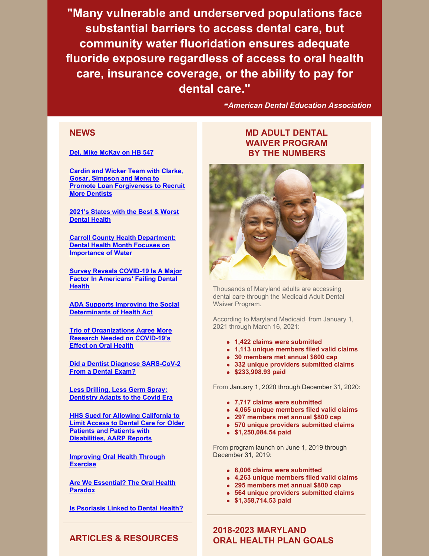**"Many vulnerable and underserved populations face substantial barriers to access dental care, but community water fluoridation ensures adequate fluoride exposure regardless of access to oral health care, insurance coverage, or the ability to pay for dental care."**

*-American Dental Education Association*

## **[NEWS](https://www.chcs.org/resource/addressing-social-determinants-of-health-via-medicaid-managed-care-contracts-and-section-1115-demonstrations/)**

#### **Del. Mike [McKay](https://www.youtube.com/watch?v=iPNGW05V2Gk) on HB 547**

**Cardin and Wicker Team with Clarke, Gosar, Simpson and Meng to Promote Loan [Forgiveness](https://www.cardin.senate.gov/newsroom/press/release/cardin-and-wicker-team-with-clarke-gosar-simpson-and-meng-to-promote-loan-forgiveness-to-recruit-more-dentists) to Recruit More Dentists**

**[2021's](https://wallethub.com/edu/states-with-best-worst-dental-health/31498) States with the Best & Worst Dental Health**

**Carroll County Health [Department:](https://www.baltimoresun.com/maryland/carroll/lifestyles/cc-lt-health-dept-022121-20210221-2bp36vlnxvhlfaisze2yyaevr4-story.html) Dental Health Month Focuses on Importance of Water**

**Survey Reveals COVID-19 Is A Major Factor In [Americans'](https://www.prnewswire.com/news-releases/survey-reveals-covid-19-is-a-major-factor-in-americans-failing-dental-health-301223396.html) Failing Dental Health**

**ADA Supports Improving the Social [Determinants](https://www.ada.org/en/publications/ada-news/2021-archive/march/ada-supports-improving-the-social-determinants-of-health-act) of Health Act**

**Trio of [Organizations](https://www.ada.org/en/publications/ada-news/2021-archive/february/research-needed-on-covid-effect-on-oral-health) Agree More Research Needed on COVID-19's Effect on Oral Health**

**Did a Dentist Diagnose [SARS-CoV-2](https://www.drbicuspid.com/index.aspx?Sec=sup&Sub=hyg&Pag=dis&ItemId=327921) From a Dental Exam?**

**Less Drilling, Less Germ Spray: [Dentistry](https://www.nytimes.com/2021/02/09/health/covid-dentists-teeth.html) Adapts to the Covid Era**

**HHS Sued for Allowing California to Limit Access to Dental Care for Older Patients and Patients with [Disabilities,](https://goldrushcam.com/sierrasuntimes/index.php/news/local-news/27764-hhs-sued-for-allowing-california-to-limit-access-to-dental-care-for-older-patients-and-patients-with-disabilities-aarp-reports) AARP Reports**

**[Improving](https://www.theamericanreporter.com/improving-oral-health-through-exercise/) Oral Health Through Exercise**

**Are We [Essential?](https://onlinelibrary.wiley.com/doi/10.1002/jdd.12573) The Oral Health Paradox**

**Is [Psoriasis](https://www.healthline.com/health/psoriasis/psoriasis-dental-health) Linked to Dental Health?**

# **MD ADULT DENTAL WAIVER PROGRAM BY THE NUMBERS**



Thousands of Maryland adults are accessing dental care through the Medicaid Adult Dental Waiver Program.

According to Maryland Medicaid, from January 1, 2021 through March 16, 2021:

- **1,422 claims were submitted**
- **1,113 unique members filed valid claims**
- **30 members met annual \$800 cap**
- **332 unique providers submitted claims**
- **\$233,908.93 paid**

From January 1, 2020 through December 31, 2020:

- **7,717 claims were submitted**
- **4,065 unique members filed valid claims**
- **297 members met annual \$800 cap**
- **570 unique providers submitted claims**
- **\$1,250,084.54 paid**

From program launch on June 1, 2019 through December 31, 2019:

- **8,006 claims were submitted**
- **4,263 unique members filed valid claims**
- **295 members met annual \$800 cap**
- **564 unique providers submitted claims**
- **\$1,358,714.53 paid**

**2018-2023 MARYLAND ORAL HEALTH PLAN GOALS**

## **ARTICLES & RESOURCES**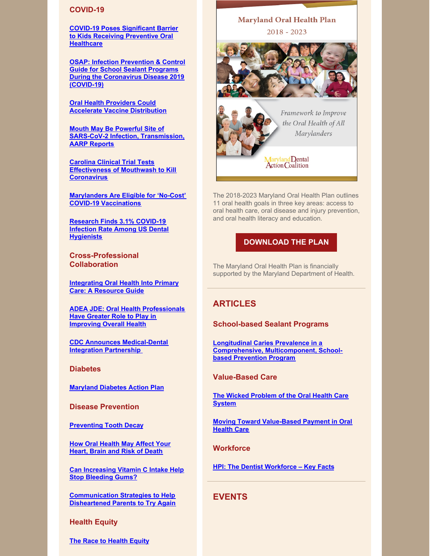#### **COVID-19**

**COVID-19 Poses [Significant](https://decisionsindentistry.com/2021/02/covid-poses-significant-barrier-kids-receiving-preventive-oral-healthcare/?inf_contact_key=0d1f1720ffba1888347e8ee930a189576914bec1b8fd989797086ba53725e686) Barrier to Kids Receiving Preventive Oral Healthcare**

**OSAP: Infection Prevention & Control Guide for School Sealant Programs During the [Coronavirus](https://www.osap.org/page/ipc-guide-for-ssp-during-covid-19?utm_source=Master+List+-+Members+and+Non-Members&utm_campaign=6d047d79d6-EMAIL_CAMPAIGN_2020_10_27_02_36_COPY_01&utm_medium=email&utm_term=0_65e2169692-6d047d79d6-116414392) Disease 2019 (COVID-19)**

**Oral Health Providers Could Accelerate Vaccine [Distribution](https://www.communitycatalyst.org/blog/oral-health-providers-could-accelerate-vaccine-distribution#.YC_blGFKjIV)**

**Mouth May Be Powerful Site of SARS-CoV-2 Infection, [Transmission,](https://www.drbicuspid.com/index.aspx?sec=sup&sub=infctl&pag=dis&ItemID=327499) AARP Reports**

**Carolina Clinical Trial Tests [Effectiveness](https://uncnews.unc.edu/2021/02/22/covid-19-mouthwash/) of Mouthwash to Kill Coronavirus**

**[Marylanders](https://insurance.maryland.gov/Pages/newscenter/NewsDetails.aspx?NR=2020290) Are Eligible for 'No-Cost' COVID-19 Vaccinations**

**Research Finds 3.1% COVID-19 Infection Rate Among US Dental [Hygienists](https://www.ada.org/en/publications/ada-news/2021-archive/february/research-finds-3-point-1-percent-covid19-infection-rate-among-us-dental-hygienists)**

**Cross-Professional Collaboration**

**[Integrating](https://paoralhealth.us14.list-manage.com/track/click?u=c123c66a11e9ed0d166aa7a73&id=e37212e1b4&e=84dd925fca) Oral Health Into Primary Care: A Resource Guide**

**ADEA JDE: Oral Health [Professionals](https://www.businesswire.com/news/home/20210121005980/en/) Have Greater Role to Play in Improving Overall Health**

**CDC Announces [Medical-Dental](https://www.cdc.gov/oralhealth/about/md-integration.html) Integration Partnership**

**Diabetes**

**[Maryland](https://phpa.health.maryland.gov/CCDPC/Pages/diabetes-action-plan.aspx) Diabetes Action Plan**

**Disease Prevention**

**[Preventing](https://eclkc.ohs.acf.hhs.gov/publication/preventing-tooth-decay?utm_medium=email&utm_campaign=Resources to Make You Smile Issue No 1&utm_content=Resources to Make You Smile Issue No 1+CID_cac7e44ec3d23ac6cbf185305504d06a&utm_source=CM Eblast&utm_term=Preventing Tooth Decay&cid=cac7e44ec3d23ac6cbf185305504d06a) Tooth Decay**

**How Oral [Health](https://www.heart.org/en/news/2021/03/19/how-oral-health-may-affect-your-heart-brain-and-risk-of-death) May Affect Your Heart, Brain and Risk of Death**

**Can [Increasing](https://www.medicalnewstoday.com/articles/can-increasing-vitamin-c-intake-help-stop-bleeding-gums) Vitamin C Intake Help Stop Bleeding Gums?**

**[Communication](https://www.dentistryiq.com/dental-hygiene/patient-education/article/14198340/communication-strategies-to-help-disheartened-parents-to-try-again) Strategies to Help Disheartened Parents to Try Again**

**Health Equity**

**The Race to [Health](https://all4oralhealth.wordpress.com/2021/02/23/the-race-to-health-equity/) Equity**

# **Maryland Oral Health Plan**  $2018 - 2023$



Framework to Improve the Oral Health of All Marylanders

Maryland Dental<br>Action Coalition

The 2018-2023 Maryland Oral Health Plan outlines 11 oral health goals in three key areas: access to oral health care, oral disease and injury prevention, and oral health literacy and education.

### **[DOWNLOAD](https://www.mdac.us/initiatives/maryland-oral-health-plan/) THE PLAN**

The Maryland Oral Health Plan is financially supported by the Maryland Department of Health.

## **ARTICLES**

### **School-based Sealant Programs**

**Longitudinal Caries Prevalence in a Comprehensive, [Multicomponent,](https://jada.ada.org/article/S0002-8177(20)30842-4/fulltext?mc_cid=1a670d3353&mc_eid=84dd925fca) Schoolbased Prevention Program**

#### **Value-Based Care**

**The Wicked [Problem](https://www.dentaquestpartnership.org/learn/online-learning-center/resource-library/wicked-problem-oral-health-care-system?linkId=100000023901675&utm_campaign=DQP - Newsletter&utm_medium=email&_hsmi=111760617&_hsenc=p2ANqtz-9ND0pppQyTWDK2P3BaZ4KpNd4kG78ytZo6Vw_EwNoo6nJSNZ47AIEzYbRyFRXF6c9TvFNHp2kuA-6BrGiGHt7_Vx00FQ&utm_content=111760617&utm_source=hs_email) of the Oral Health Care System**

**Moving Toward [Value-Based](https://www.chcs.org/resource/moving-toward-value-based-payment-in-oral-health/?utm_source=CHCS+Email+Updates&utm_campaign=3f4edeafda-DQP+VBP+Brief+02%2F10%2F21&utm_medium=email&utm_term=0_bbced451bf-3f4edeafda-157190329) Payment in Oral Health Care**

**Workforce**

**HPI: The Dentist [Workforce](https://www.ada.org/~/media/ADA/Science and Research/HPI/Files/HPIgraphic_0221_1.pdf?la=en&mc_cid=fa4b068642&mc_eid=84dd925fca) – Key Facts**

**EVENTS**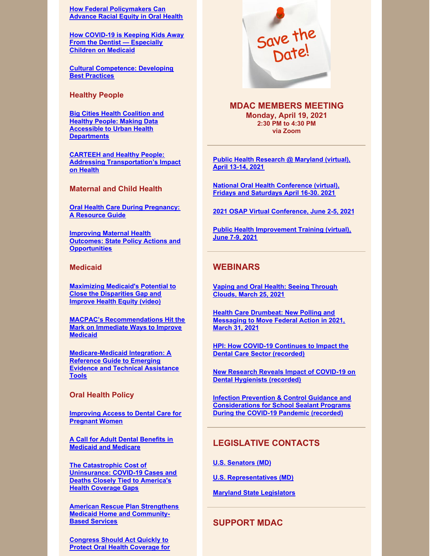**How Federal [Policymakers](https://www.communitycatalyst.org/blog/how-federal-policymakers-can-advance-racial-equity-in-oral-health#.YDkaIrhKjIV) Can Advance Racial Equity in Oral Health**

**How COVID-19 is Keeping Kids Away From the Dentist — [Especially](https://www.marketwatch.com/story/why-covid-19-is-posing-a-barrier-to-some-kids-dental-care-especially-those-with-medicaid-11613498312) Children on Medicaid**

**Cultural [Competence:](https://www.rdhmag.com/patient-care/article/14189892/cultural-competence-developing-best-practices) Developing Best Practices**

**Healthy People**

**Big Cities Health Coalition and Healthy People: Making Data Accessible to Urban Health [Departments](https://health.gov/news/202102/big-cities-health-coalition-and-healthy-people-making-data-accessible-urban-health-departments?source=govdelivery&utm_medium=email&utm_source=govdelivery)**

**CARTEEH and Healthy People: Addressing [Transportation's](https://health.gov/news/202102/carteeh-and-healthy-people-addressing-transportations-impact-health?source=govdelivery&utm_medium=email&utm_source=govdelivery) Impact on Health**

**Maternal and Child Health**

**Oral Health Care During [Pregnancy:](https://www.mchoralhealth.org/PDFs/oralhealthpregnancyresguide.pdf?mc_cid=2641f23502&mc_eid=84dd925fca) A Resource Guide**

**Improving Maternal Health Outcomes: State Policy Actions and [Opportunities](https://www.chcs.org/news/improving-maternal-health-outcomes-state-policy-actions-and-opportunities/?utm_source=CHCS+Email+Updates&utm_campaign=42ae45857a-PCS+-+Maternal+Health+03%2F05%2F21_COPY_01&utm_medium=email&utm_term=0_bbced451bf-42ae45857a-157190329)**

### **Medicaid**

**[Maximizing](https://www.youtube.com/watch?v=bgFkXd4KKDI) Medicaid's Potential to Close the Disparities Gap and Improve Health Equity (video)**

**MACPAC's [Recommendations](https://www.communitycatalyst.org/blog/macpacs-recommendations-hit-the-mark-on-immediate-ways-to-improve-medicaid#.YC_cBWFKjIV) Hit the Mark on Immediate Ways to Improve Medicaid**

**[Medicare-Medicaid](https://www.bettercareplaybook.org/resources/medicare-medicaid-integration-reference-guide-emerging-evidence-and-technical-assistance?utm_source=CHCS+Email+Updates&utm_campaign=bb7a993863-Duals+resource+roundup+02%2F23%2F21&utm_medium=email&utm_term=0_bbced451bf-bb7a993863-157190329) Integration: A Reference Guide to Emerging Evidence and Technical Assistance Tools**

### **Oral Health Policy**

**[Improving](https://apha.org/policies-and-advocacy/public-health-policy-statements/policy-database/2021/01/12/improving-access-to-dental-care-for-pregnant-women) Access to Dental Care for Pregnant Women**

**A Call for Adult Dental Benefits in Medicaid and [Medicare](https://apha.org/policies-and-advocacy/public-health-policy-statements/policy-database/2021/01/12/a-call-for-adult-dental-benefits-in-medicaid-and-medicare)**

**The Catastrophic Cost of [Uninsurance:](https://familiesusa.org/resources/the-catastrophic-cost-of-uninsurance-covid-19-cases-and-deaths-closely-tied-to-americas-health-coverage-gaps/) COVID-19 Cases and Deaths Closely Tied to America's Health Coverage Gaps**

**American Rescue Plan Strengthens Medicaid Home and [Community-](https://healthinnovation.org/news/blog/post?page=american-rescue-plan)Based Services**

**[Congress](https://familiesusa.org/wp-content/uploads/2021/01/OH-3_Federal-Adult-Dental-Medicaid-Analysis-1.pdf) Should Act Quickly to Protect Oral Health Coverage for**



**MDAC MEMBERS MEETING Monday, April 19, 2021 2:30 PM to 4:30 PM via Zoom**

**Public Health [Research](https://docs.google.com/forms/d/e/1FAIpQLSdHqcrkIo7tROPvaC6B75GwOUKyL5OP3fRxiL-zM2kfgRhRCw/viewform) @ Maryland (virtual), April 13-14, 2021**

**National Oral Health [Conference](https://www.eventscribe.com/2021/NOHC/) (virtual), Fridays and Saturdays April 16-30. 2021**

**2021 OSAP Virtual [Conference,](https://www.osap.org/page/2021AnnualConf?utm_source=Master+List+-+Members+and+Non-Members&utm_campaign=de69cb5d55-EMAIL_CAMPAIGN_2020_09_30_02_10_COPY_01&utm_medium=email&utm_term=0_65e2169692-de69cb5d55-116414392) June 2-5, 2021**

**Public Health [Improvement](http://www.phf.org/events/Pages/2021_Public_Health_Improvement_Training_PHIT.aspx) Training (virtual), June 7-9, 2021**

### **WEBINARS**

**Vaping and Oral Health: Seeing [Through](https://us02web.zoom.us/webinar/register/WN_fbU0xGNBTWWGwtArgfk06A) Clouds, March 25, 2021**

**Health Care Drumbeat: New Polling and [Messaging](https://cc.readytalk.com/registration/#/?meeting=55xralb4wdnf&campaign=g6mxo7xqqzqj) to Move Federal Action in 2021, March 31, 2021**

**HPI: How COVID-19 Continues to Impact the Dental Care Sector [\(recorded\)](https://www.youtube.com/watch?v=rrJvlVcF1o8&feature=youtu.be)**

**New Research Reveals Impact of COVID-19 on Dental [Hygienists](https://zoom.us/rec/play/_0iUNiKUvWRl2mJrINwOg2acZFxoMqzE0dHSqv4GCp2JYvgHfWjVPiM_9FQYXgZOTEZXtQuGptAbvuaK.3mLGnD63GYvLCO0A?autoplay=true&startTime=1614200330000) (recorded)**

**Infection Prevention & Control Guidance and [Considerations](https://www.osap.org/page/webinar-ipc-guidance-ssp?utm_source=Master+List+-+Members+and+Non-Members&utm_campaign=6d047d79d6-EMAIL_CAMPAIGN_2020_10_27_02_36_COPY_01&utm_medium=email&utm_term=0_65e2169692-6d047d79d6-116414392) for School Sealant Programs During the COVID-19 Pandemic (recorded)**

### **LEGISLATIVE CONTACTS**

**U.S. [Senators](https://www.senate.gov/general/contact_information/senators_cfm.cfm?State=MD) (MD)**

**U.S. [Representatives](https://www.house.gov/representatives#state-maryland) (MD)**

**Maryland State [Legislators](http://mgaleg.maryland.gov/webmga/frmmain.aspx?pid=legisrpage&tab=subject6)**

### **SUPPORT MDAC**